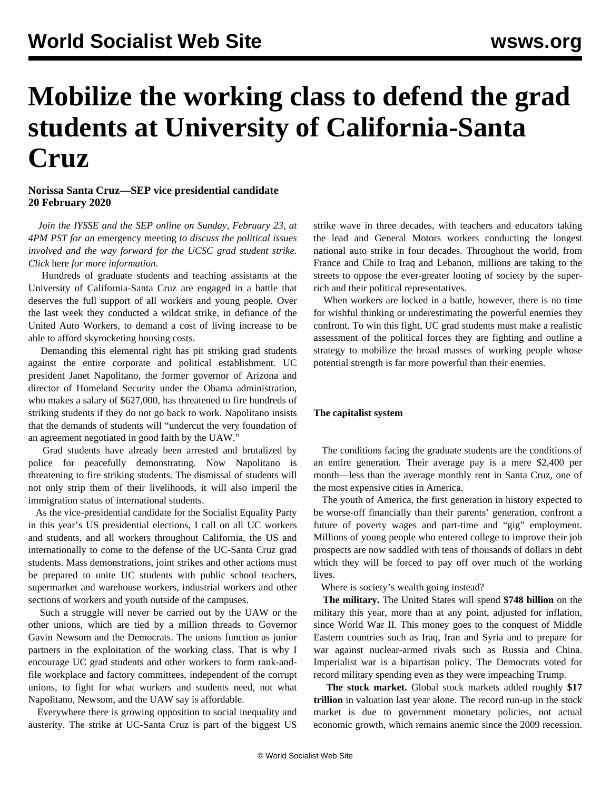# **Mobilize the working class to defend the grad students at University of California-Santa Cruz**

### **Norissa Santa Cruz—SEP vice presidential candidate 20 February 2020**

 *Join the IYSSE and the SEP online on Sunday, February 23, at 4PM PST for an* [emergency meeting](https://iysse.com/ucstrike/) *to discuss the political issues involved and the way forward for the UCSC grad student strike. Click* [here](https://iysse.com/ucstrike/) *for more information.* 

 Hundreds of graduate students and teaching assistants at the University of California-Santa Cruz are engaged in a battle that deserves the full support of all workers and young people. Over the last week they conducted a wildcat strike, in defiance of the United Auto Workers, to demand a cost of living increase to be able to afford skyrocketing housing costs.

 Demanding this elemental right has pit striking grad students against the entire corporate and political establishment. UC president Janet Napolitano, the former governor of Arizona and director of Homeland Security under the Obama administration, who makes a salary of \$627,000, has threatened to fire hundreds of striking students if they do not go back to work. Napolitano insists that the demands of students will "undercut the very foundation of an agreement negotiated in good faith by the UAW."

 Grad students have already been arrested and brutalized by police for peacefully demonstrating. Now Napolitano is threatening to fire striking students. The dismissal of students will not only strip them of their livelihoods, it will also imperil the immigration status of international students.

 As the vice-presidential candidate for the Socialist Equality Party in this year's US presidential elections, I call on all UC workers and students, and all workers throughout California, the US and internationally to come to the defense of the UC-Santa Cruz grad students. Mass demonstrations, joint strikes and other actions must be prepared to unite UC students with public school teachers, supermarket and warehouse workers, industrial workers and other sections of workers and youth outside of the campuses.

 Such a struggle will never be carried out by the UAW or the other unions, which are tied by a million threads to Governor Gavin Newsom and the Democrats. The unions function as junior partners in the exploitation of the working class. That is why I encourage UC grad students and other workers to form rank-andfile workplace and factory committees, independent of the corrupt unions, to fight for what workers and students need, not what Napolitano, Newsom, and the UAW say is affordable.

 Everywhere there is growing opposition to social inequality and austerity. The strike at UC-Santa Cruz is part of the biggest US

strike wave in three decades, with teachers and educators taking the lead and General Motors workers conducting the longest national auto strike in four decades. Throughout the world, from France and Chile to Iraq and Lebanon, millions are taking to the streets to oppose the ever-greater looting of society by the superrich and their political representatives.

 When workers are locked in a battle, however, there is no time for wishful thinking or underestimating the powerful enemies they confront. To win this fight, UC grad students must make a realistic assessment of the political forces they are fighting and outline a strategy to mobilize the broad masses of working people whose potential strength is far more powerful than their enemies.

#### **The capitalist system**

 The conditions facing the graduate students are the conditions of an entire generation. Their average pay is a mere \$2,400 per month—less than the average monthly rent in Santa Cruz, one of the most expensive cities in America.

 The youth of America, the first generation in history expected to be worse-off financially than their parents' generation, confront a future of poverty wages and part-time and "gig" employment. Millions of young people who entered college to improve their job prospects are now saddled with tens of thousands of dollars in debt which they will be forced to pay off over much of the working lives.

Where is society's wealth going instead?

 **The military.** The United States will spend **\$748 billion** on the military this year, more than at any point, adjusted for inflation, since World War II. This money goes to the conquest of Middle Eastern countries such as Iraq, Iran and Syria and to prepare for war against nuclear-armed rivals such as Russia and China. Imperialist war is a bipartisan policy. The Democrats voted for record military spending even as they were impeaching Trump.

 **The stock market.** Global stock markets added roughly **\$17 trillion** in valuation last year alone. The record run-up in the stock market is due to government monetary policies, not actual economic growth, which remains anemic since the 2009 recession.